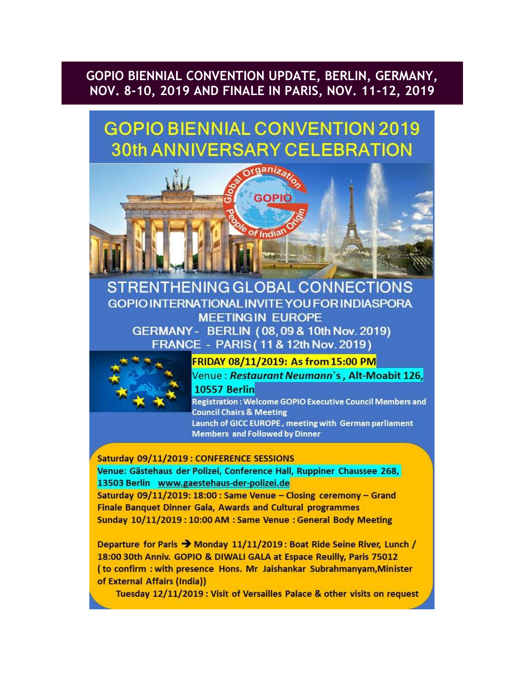# GOPIO BIENNIAL CONVENTION UPDATE, BERLIN, GERMANY, NOV. 8-10, 2019 AND FINALE IN PARIS, NOV. 11-12, 2019

# **GOPIO BIENNIAL CONVENTION 2019 30th ANNIVERSARY CELEBRATION**



# **RENTHENING GLOBAL CONNECTIONS GOPIO INTERNATIONAL INVITE YOU FOR INDIASPORA MEETINGIN EUROPE** GERMANY - BERLIN (08,09 & 10th Nov. 2019) FRANCE - PARIS (11 & 12th Nov. 2019)



FRIDAY 08/11/2019: As from 15:00 PM Venue : Restaurant Neumann's, Alt-Moabit 126, **10557 Berlin** 

**Registration: Welcome GOPIO Executive Council Members and Council Chairs & Meeting** Launch of GICC EUROPE, meeting with German parliament **Members and Followed by Dinner** 

# Saturday 09/11/2019 : CONFERENCE SESSIONS

Venue: Gästehaus der Polizei, Conference Hall, Ruppiner Chaussee 268, 13503 Berlin www.gaestehaus-der-polizei.de

Saturday 09/11/2019: 18:00 : Same Venue - Closing ceremony - Grand **Finale Banquet Dinner Gala, Awards and Cultural programmes** Sunday 10/11/2019: 10:00 AM : Same Venue : General Body Meeting

Departure for Paris > Monday 11/11/2019: Boat Ride Seine River, Lunch / 18:00 30th Anniv. GOPIO & DIWALI GALA at Espace Reuilly, Paris 75012 (to confirm: with presence Hons. Mr Jaishankar Subrahmanyam, Minister of External Affairs (India))

Tuesday 12/11/2019 : Visit of Versailles Palace & other visits on request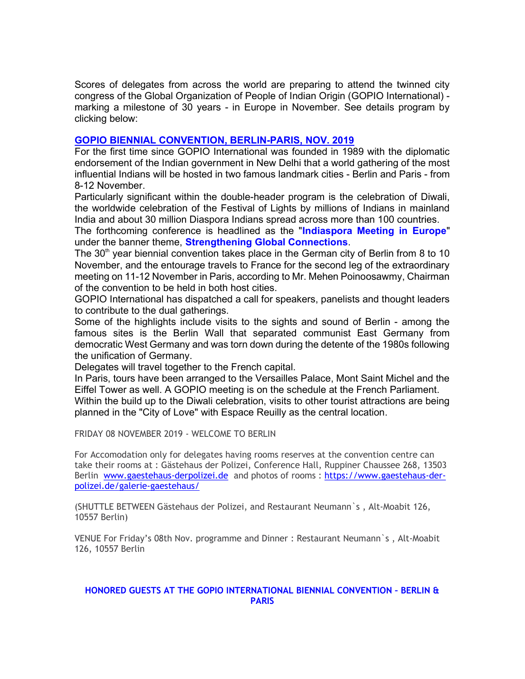Scores of delegates from across the world are preparing to attend the twinned city congress of the Global Organization of People of Indian Origin (GOPIO International) marking a milestone of 30 years - in Europe in November. See details program by clicking below:

# GOPIO BIENNIAL CONVENTION, BERLIN-PARIS, NOV. 2019

For the first time since GOPIO International was founded in 1989 with the diplomatic endorsement of the Indian government in New Delhi that a world gathering of the most influential Indians will be hosted in two famous landmark cities - Berlin and Paris - from 8-12 November.

Particularly significant within the double-header program is the celebration of Diwali, the worldwide celebration of the Festival of Lights by millions of Indians in mainland India and about 30 million Diaspora Indians spread across more than 100 countries.

The forthcoming conference is headlined as the "Indiaspora Meeting in Europe" under the banner theme, **Strengthening Global Connections**.

The 30<sup>th</sup> year biennial convention takes place in the German city of Berlin from 8 to 10 November, and the entourage travels to France for the second leg of the extraordinary meeting on 11-12 November in Paris, according to Mr. Mehen Poinoosawmy, Chairman of the convention to be held in both host cities.

GOPIO International has dispatched a call for speakers, panelists and thought leaders to contribute to the dual gatherings.

Some of the highlights include visits to the sights and sound of Berlin - among the famous sites is the Berlin Wall that separated communist East Germany from democratic West Germany and was torn down during the detente of the 1980s following the unification of Germany.

Delegates will travel together to the French capital.

In Paris, tours have been arranged to the Versailles Palace, Mont Saint Michel and the Eiffel Tower as well. A GOPIO meeting is on the schedule at the French Parliament. Within the build up to the Diwali celebration, visits to other tourist attractions are being planned in the "City of Love" with Espace Reuilly as the central location.

FRIDAY 08 NOVEMBER 2019 - WELCOME TO BERLIN

For Accomodation only for delegates having rooms reserves at the convention centre can take their rooms at : Gästehaus der Polizei, Conference Hall, Ruppiner Chaussee 268, 13503 Berlin www.gaestehaus-derpolizei.de and photos of rooms : https://www.gaestehaus-derpolizei.de/galerie-gaestehaus/

(SHUTTLE BETWEEN Gästehaus der Polizei, and Restaurant Neumann`s , Alt-Moabit 126, 10557 Berlin)

VENUE For Friday's 08th Nov. programme and Dinner : Restaurant Neumann`s , Alt-Moabit 126, 10557 Berlin

# HONORED GUESTS AT THE GOPIO INTERNATIONAL BIENNIAL CONVENTION – BERLIN & PARIS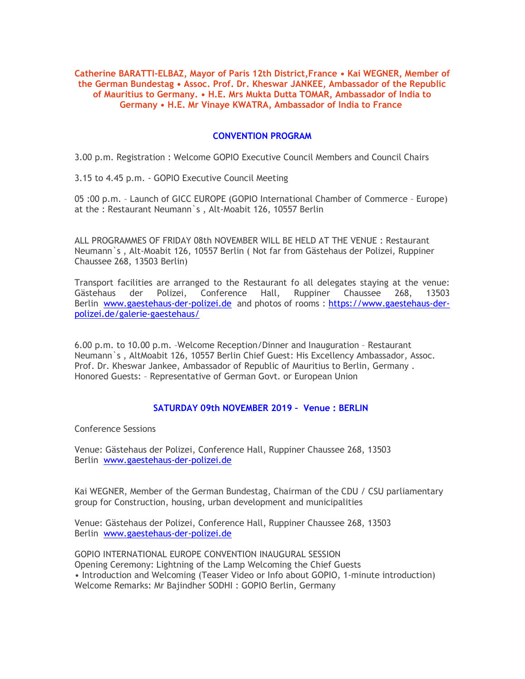Catherine BARATTI-ELBAZ, Mayor of Paris 12th District,France • Kai WEGNER, Member of the German Bundestag • Assoc. Prof. Dr. Kheswar JANKEE, Ambassador of the Republic of Mauritius to Germany. • H.E. Mrs Mukta Dutta TOMAR, Ambassador of India to Germany • H.E. Mr Vinaye KWATRA, Ambassador of India to France

# CONVENTION PROGRAM

3.00 p.m. Registration : Welcome GOPIO Executive Council Members and Council Chairs

3.15 to 4.45 p.m. - GOPIO Executive Council Meeting

05 :00 p.m. – Launch of GICC EUROPE (GOPIO International Chamber of Commerce – Europe) at the : Restaurant Neumann`s , Alt-Moabit 126, 10557 Berlin

ALL PROGRAMMES OF FRIDAY 08th NOVEMBER WILL BE HELD AT THE VENUE : Restaurant Neumann`s , Alt-Moabit 126, 10557 Berlin ( Not far from Gästehaus der Polizei, Ruppiner Chaussee 268, 13503 Berlin)

Transport facilities are arranged to the Restaurant fo all delegates staying at the venue: Gästehaus der Polizei, Conference Hall, Ruppiner Chaussee 268, 13503 Berlin www.gaestehaus-der-polizei.de and photos of rooms : https://www.gaestehaus-derpolizei.de/galerie-gaestehaus/

6.00 p.m. to 10.00 p.m. –Welcome Reception/Dinner and Inauguration – Restaurant Neumann`s , AltMoabit 126, 10557 Berlin Chief Guest: His Excellency Ambassador, Assoc. Prof. Dr. Kheswar Jankee, Ambassador of Republic of Mauritius to Berlin, Germany . Honored Guests: – Representative of German Govt. or European Union

# SATURDAY 09th NOVEMBER 2019 – Venue : BERLIN

Conference Sessions

Venue: Gästehaus der Polizei, Conference Hall, Ruppiner Chaussee 268, 13503 Berlin www.gaestehaus-der-polizei.de

Kai WEGNER, Member of the German Bundestag, Chairman of the CDU / CSU parliamentary group for Construction, housing, urban development and municipalities

Venue: Gästehaus der Polizei, Conference Hall, Ruppiner Chaussee 268, 13503 Berlin www.gaestehaus-der-polizei.de

GOPIO INTERNATIONAL EUROPE CONVENTION INAUGURAL SESSION Opening Ceremony: Lightning of the Lamp Welcoming the Chief Guests • Introduction and Welcoming (Teaser Video or Info about GOPIO, 1-minute introduction) Welcome Remarks: Mr Bajindher SODHI : GOPIO Berlin, Germany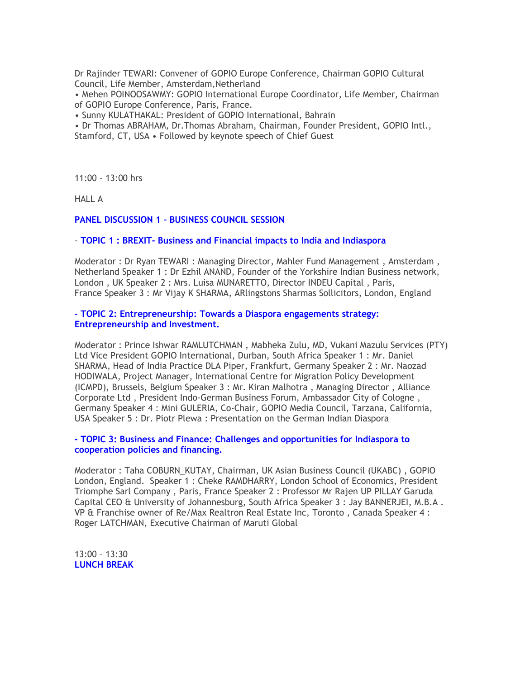Dr Rajinder TEWARI: Convener of GOPIO Europe Conference, Chairman GOPIO Cultural Council, Life Member, Amsterdam,Netherland

• Mehen POINOOSAWMY: GOPIO International Europe Coordinator, Life Member, Chairman of GOPIO Europe Conference, Paris, France.

• Sunny KULATHAKAL: President of GOPIO International, Bahrain

• Dr Thomas ABRAHAM, Dr.Thomas Abraham, Chairman, Founder President, GOPIO Intl., Stamford, CT, USA • Followed by keynote speech of Chief Guest

11:00 – 13:00 hrs

HALL A

# PANEL DISCUSSION 1 – BUSINESS COUNCIL SESSION

#### - TOPIC 1 : BREXIT- Business and Financial impacts to India and Indiaspora

Moderator : Dr Ryan TEWARI : Managing Director, Mahler Fund Management , Amsterdam , Netherland Speaker 1 : Dr Ezhil ANAND, Founder of the Yorkshire Indian Business network, London , UK Speaker 2 : Mrs. Luisa MUNARETTO, Director INDEU Capital , Paris, France Speaker 3 : Mr Vijay K SHARMA, ARlingstons Sharmas Sollicitors, London, England

#### - TOPIC 2: Entrepreneurship: Towards a Diaspora engagements strategy: Entrepreneurship and Investment.

Moderator : Prince Ishwar RAMLUTCHMAN , Mabheka Zulu, MD, Vukani Mazulu Services (PTY) Ltd Vice President GOPIO International, Durban, South Africa Speaker 1 : Mr. Daniel SHARMA, Head of India Practice DLA Piper, Frankfurt, Germany Speaker 2 : Mr. Naozad HODIWALA, Project Manager, International Centre for Migration Policy Development (ICMPD), Brussels, Belgium Speaker 3 : Mr. Kiran Malhotra , Managing Director , Alliance Corporate Ltd , President Indo-German Business Forum, Ambassador City of Cologne , Germany Speaker 4 : Mini GULERIA, Co-Chair, GOPIO Media Council, Tarzana, California, USA Speaker 5 : Dr. Piotr Plewa : Presentation on the German Indian Diaspora

# - TOPIC 3: Business and Finance: Challenges and opportunities for Indiaspora to cooperation policies and financing.

Moderator : Taha COBURN\_KUTAY, Chairman, UK Asian Business Council (UKABC) , GOPIO London, England. Speaker 1 : Cheke RAMDHARRY, London School of Economics, President Triomphe Sarl Company , Paris, France Speaker 2 : Professor Mr Rajen UP PILLAY Garuda Capital CEO & University of Johannesburg, South Africa Speaker 3 : Jay BANNERJEI, M.B.A . VP & Franchise owner of Re/Max Realtron Real Estate Inc, Toronto , Canada Speaker 4 : Roger LATCHMAN, Executive Chairman of Maruti Global

13:00 – 13:30 LUNCH BREAK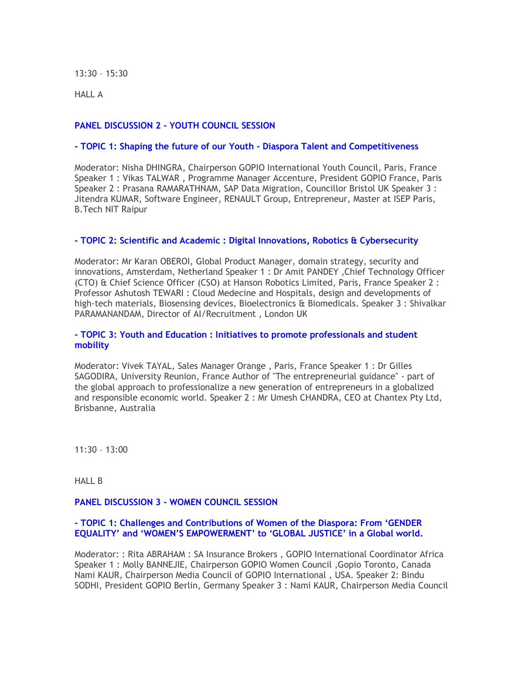13:30 – 15:30

HALL A

# PANEL DISCUSSION 2 - YOUTH COUNCIL SESSION

### - TOPIC 1: Shaping the future of our Youth - Diaspora Talent and Competitiveness

Moderator: Nisha DHINGRA, Chairperson GOPIO International Youth Council, Paris, France Speaker 1 : Vikas TALWAR , Programme Manager Accenture, President GOPIO France, Paris Speaker 2 : Prasana RAMARATHNAM, SAP Data Migration, Councillor Bristol UK Speaker 3 : Jitendra KUMAR, Software Engineer, RENAULT Group, Entrepreneur, Master at ISEP Paris, B.Tech NIT Raipur

# - TOPIC 2: Scientific and Academic : Digital Innovations, Robotics & Cybersecurity

Moderator: Mr Karan OBEROI, Global Product Manager, domain strategy, security and innovations, Amsterdam, Netherland Speaker 1 : Dr Amit PANDEY, Chief Technology Officer (CTO) & Chief Science Officer (CSO) at Hanson Robotics Limited, Paris, France Speaker 2 : Professor Ashutosh TEWARI : Cloud Medecine and Hospitals, design and developments of high-tech materials, Biosensing devices, Bioelectronics & Biomedicals. Speaker 3 : Shivalkar PARAMANANDAM, Director of AI/Recruitment , London UK

#### - TOPIC 3: Youth and Education : Initiatives to promote professionals and student mobility

Moderator: Vivek TAYAL, Sales Manager Orange , Paris, France Speaker 1 : Dr Gilles SAGODIRA, University Reunion, France Author of "The entrepreneurial guidance" - part of the global approach to professionalize a new generation of entrepreneurs in a globalized and responsible economic world. Speaker 2 : Mr Umesh CHANDRA, CEO at Chantex Pty Ltd, Brisbanne, Australia

11:30 – 13:00

HALL B

#### PANEL DISCUSSION 3 - WOMEN COUNCIL SESSION

#### - TOPIC 1: Challenges and Contributions of Women of the Diaspora: From 'GENDER EQUALITY' and 'WOMEN'S EMPOWERMENT' to 'GLOBAL JUSTICE' in a Global world.

Moderator: : Rita ABRAHAM : SA Insurance Brokers , GOPIO International Coordinator Africa Speaker 1 : Molly BANNEJIE, Chairperson GOPIO Women Council ,Gopio Toronto, Canada Nami KAUR, Chairperson Media Council of GOPIO International , USA. Speaker 2: Bindu SODHI, President GOPIO Berlin, Germany Speaker 3 : Nami KAUR, Chairperson Media Council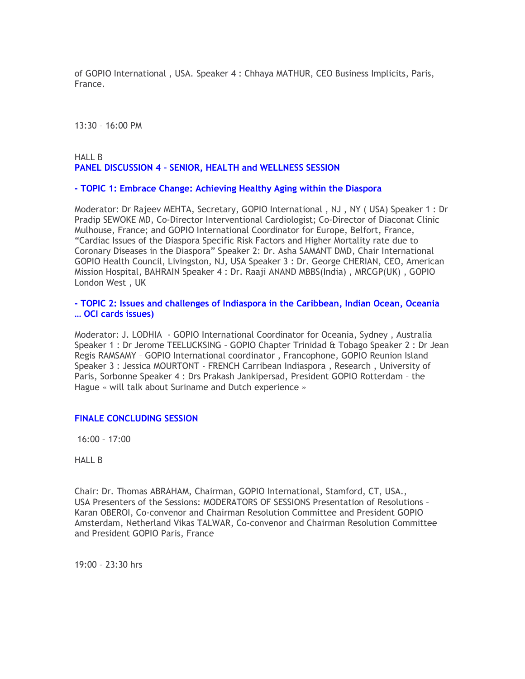of GOPIO International , USA. Speaker 4 : Chhaya MATHUR, CEO Business Implicits, Paris, France.

13:30 – 16:00 PM

# HALL B PANEL DISCUSSION 4 – SENIOR, HEALTH and WELLNESS SESSION

#### - TOPIC 1: Embrace Change: Achieving Healthy Aging within the Diaspora

Moderator: Dr Rajeev MEHTA, Secretary, GOPIO International , NJ , NY ( USA) Speaker 1 : Dr Pradip SEWOKE MD, Co-Director Interventional Cardiologist; Co-Director of Diaconat Clinic Mulhouse, France; and GOPIO International Coordinator for Europe, Belfort, France, "Cardiac Issues of the Diaspora Specific Risk Factors and Higher Mortality rate due to Coronary Diseases in the Diaspora" Speaker 2: Dr. Asha SAMANT DMD, Chair International GOPIO Health Council, Livingston, NJ, USA Speaker 3 : Dr. George CHERIAN, CEO, American Mission Hospital, BAHRAIN Speaker 4 : Dr. Raaji ANAND MBBS(India) , MRCGP(UK) , GOPIO London West , UK

- TOPIC 2: Issues and challenges of Indiaspora in the Caribbean, Indian Ocean, Oceania … OCI cards issues)

Moderator: J. LODHIA - GOPIO International Coordinator for Oceania, Sydney , Australia Speaker 1 : Dr Jerome TEELUCKSING – GOPIO Chapter Trinidad & Tobago Speaker 2 : Dr Jean Regis RAMSAMY – GOPIO International coordinator , Francophone, GOPIO Reunion Island Speaker 3 : Jessica MOURTONT - FRENCH Carribean Indiaspora , Research , University of Paris, Sorbonne Speaker 4 : Drs Prakash Jankipersad, President GOPIO Rotterdam – the Hague « will talk about Suriname and Dutch experience »

#### FINALE CONCLUDING SESSION

16:00 – 17:00

HALL B

Chair: Dr. Thomas ABRAHAM, Chairman, GOPIO International, Stamford, CT, USA., USA Presenters of the Sessions: MODERATORS OF SESSIONS Presentation of Resolutions – Karan OBEROI, Co-convenor and Chairman Resolution Committee and President GOPIO Amsterdam, Netherland Vikas TALWAR, Co-convenor and Chairman Resolution Committee and President GOPIO Paris, France

19:00 – 23:30 hrs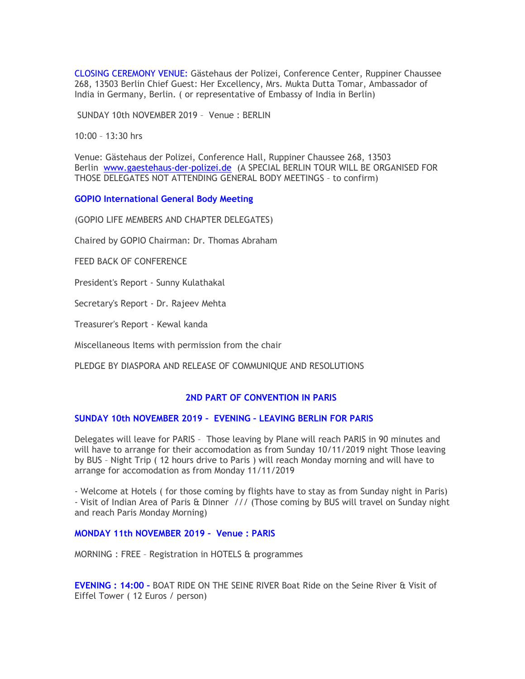CLOSING CEREMONY VENUE: Gästehaus der Polizei, Conference Center, Ruppiner Chaussee 268, 13503 Berlin Chief Guest: Her Excellency, Mrs. Mukta Dutta Tomar, Ambassador of India in Germany, Berlin. ( or representative of Embassy of India in Berlin)

SUNDAY 10th NOVEMBER 2019 – Venue : BERLIN

10:00 – 13:30 hrs

Venue: Gästehaus der Polizei, Conference Hall, Ruppiner Chaussee 268, 13503 Berlin www.gaestehaus-der-polizei.de (A SPECIAL BERLIN TOUR WILL BE ORGANISED FOR THOSE DELEGATES NOT ATTENDING GENERAL BODY MEETINGS – to confirm)

GOPIO International General Body Meeting

(GOPIO LIFE MEMBERS AND CHAPTER DELEGATES)

Chaired by GOPIO Chairman: Dr. Thomas Abraham

FEED BACK OF CONFERENCE

President's Report - Sunny Kulathakal

Secretary's Report - Dr. Rajeev Mehta

Treasurer's Report - Kewal kanda

Miscellaneous Items with permission from the chair

PLEDGE BY DIASPORA AND RELEASE OF COMMUNIQUE AND RESOLUTIONS

#### 2ND PART OF CONVENTION IN PARIS

#### SUNDAY 10th NOVEMBER 2019 – EVENING – LEAVING BERLIN FOR PARIS

Delegates will leave for PARIS – Those leaving by Plane will reach PARIS in 90 minutes and will have to arrange for their accomodation as from Sunday 10/11/2019 night Those leaving by BUS – Night Trip ( 12 hours drive to Paris ) will reach Monday morning and will have to arrange for accomodation as from Monday 11/11/2019

- Welcome at Hotels ( for those coming by flights have to stay as from Sunday night in Paris) - Visit of Indian Area of Paris & Dinner /// (Those coming by BUS will travel on Sunday night and reach Paris Monday Morning)

#### MONDAY 11th NOVEMBER 2019 – Venue : PARIS

MORNING : FREE – Registration in HOTELS & programmes

EVENING : 14:00 – BOAT RIDE ON THE SEINE RIVER Boat Ride on the Seine River & Visit of Eiffel Tower ( 12 Euros / person)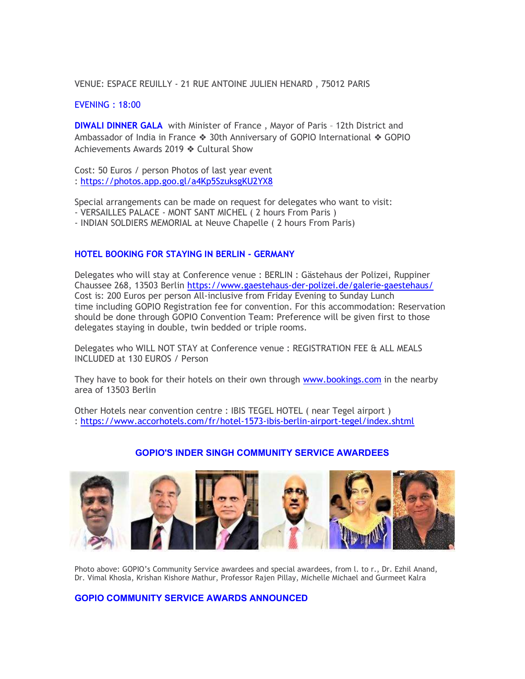VENUE: ESPACE REUILLY - 21 RUE ANTOINE JULIEN HENARD , 75012 PARIS

#### EVENING : 18:00

**DIWALI DINNER GALA** with Minister of France, Mayor of Paris - 12th District and Ambassador of India in France ❖ 30th Anniversary of GOPIO International ❖ GOPIO Achievements Awards 2019 ❖ Cultural Show

Cost: 50 Euros / person Photos of last year event : https://photos.app.goo.gl/a4Kp5SzuksgKU2YX8

Special arrangements can be made on request for delegates who want to visit:

- VERSAILLES PALACE MONT SANT MICHEL ( 2 hours From Paris )
- INDIAN SOLDIERS MEMORIAL at Neuve Chapelle ( 2 hours From Paris)

# HOTEL BOOKING FOR STAYING IN BERLIN - GERMANY

Delegates who will stay at Conference venue : BERLIN : Gästehaus der Polizei, Ruppiner Chaussee 268, 13503 Berlin https://www.gaestehaus-der-polizei.de/galerie-gaestehaus/ Cost is: 200 Euros per person All-inclusive from Friday Evening to Sunday Lunch time including GOPIO Registration fee for convention. For this accommodation: Reservation should be done through GOPIO Convention Team: Preference will be given first to those delegates staying in double, twin bedded or triple rooms.

Delegates who WILL NOT STAY at Conference venue : REGISTRATION FEE & ALL MEALS INCLUDED at 130 EUROS / Person

They have to book for their hotels on their own through www.bookings.com in the nearby area of 13503 Berlin

Other Hotels near convention centre : IBIS TEGEL HOTEL ( near Tegel airport ) : https://www.accorhotels.com/fr/hotel-1573-ibis-berlin-airport-tegel/index.shtml



# GOPIO'S INDER SINGH COMMUNITY SERVICE AWARDEES

Photo above: GOPIO's Community Service awardees and special awardees, from l. to r., Dr. Ezhil Anand, Dr. Vimal Khosla, Krishan Kishore Mathur, Professor Rajen Pillay, Michelle Michael and Gurmeet Kalra

#### GOPIO COMMUNITY SERVICE AWARDS ANNOUNCED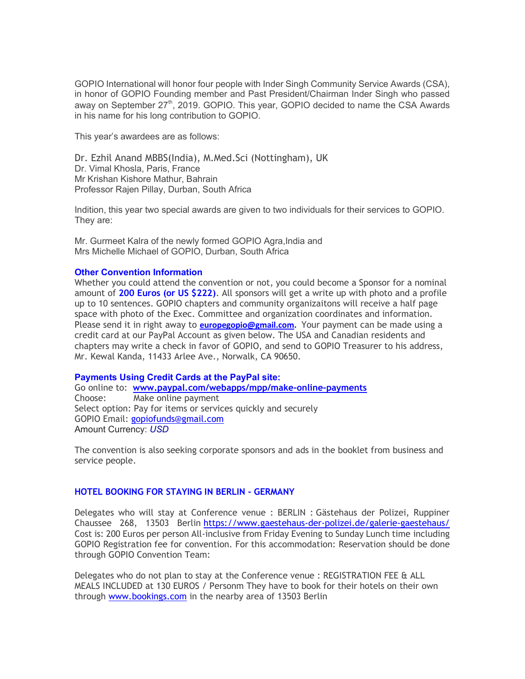GOPIO International will honor four people with Inder Singh Community Service Awards (CSA), in honor of GOPIO Founding member and Past President/Chairman Inder Singh who passed away on September  $27<sup>th</sup>$ , 2019. GOPIO. This year, GOPIO decided to name the CSA Awards in his name for his long contribution to GOPIO.

This year's awardees are as follows:

Dr. Ezhil Anand MBBS(India), M.Med.Sci (Nottingham), UK Dr. Vimal Khosla, Paris, France Mr Krishan Kishore Mathur, Bahrain Professor Rajen Pillay, Durban, South Africa

Indition, this year two special awards are given to two individuals for their services to GOPIO. They are:

Mr. Gurmeet Kalra of the newly formed GOPIO Agra,India and Mrs Michelle Michael of GOPIO, Durban, South Africa

#### Other Convention Information

Whether you could attend the convention or not, you could become a Sponsor for a nominal amount of 200 Euros (or US \$222). All sponsors will get a write up with photo and a profile up to 10 sentences. GOPIO chapters and community organizaitons will receive a half page space with photo of the Exec. Committee and organization coordinates and information. Please send it in right away to **europegopio@gmail.com.** Your payment can be made using a credit card at our PayPal Account as given below. The USA and Canadian residents and chapters may write a check in favor of GOPIO, and send to GOPIO Treasurer to his address, Mr. Kewal Kanda, 11433 Arlee Ave., Norwalk, CA 90650.

# Payments Using Credit Cards at the PayPal site:

Go online to: www.paypal.com/webapps/mpp/make-online-payments Choose: Make online payment Select option: Pay for items or services quickly and securely GOPIO Email: gopiofunds@gmail.com Amount Currency: USD

The convention is also seeking corporate sponsors and ads in the booklet from business and service people.

# HOTEL BOOKING FOR STAYING IN BERLIN - GERMANY

Delegates who will stay at Conference venue : BERLIN : Gästehaus der Polizei, Ruppiner Chaussee 268, 13503 Berlin https://www.gaestehaus-der-polizei.de/galerie-gaestehaus/ Cost is: 200 Euros per person All-inclusive from Friday Evening to Sunday Lunch time including GOPIO Registration fee for convention. For this accommodation: Reservation should be done through GOPIO Convention Team:

Delegates who do not plan to stay at the Conference venue : REGISTRATION FEE & ALL MEALS INCLUDED at 130 EUROS / Personm They have to book for their hotels on their own through www.bookings.com in the nearby area of 13503 Berlin